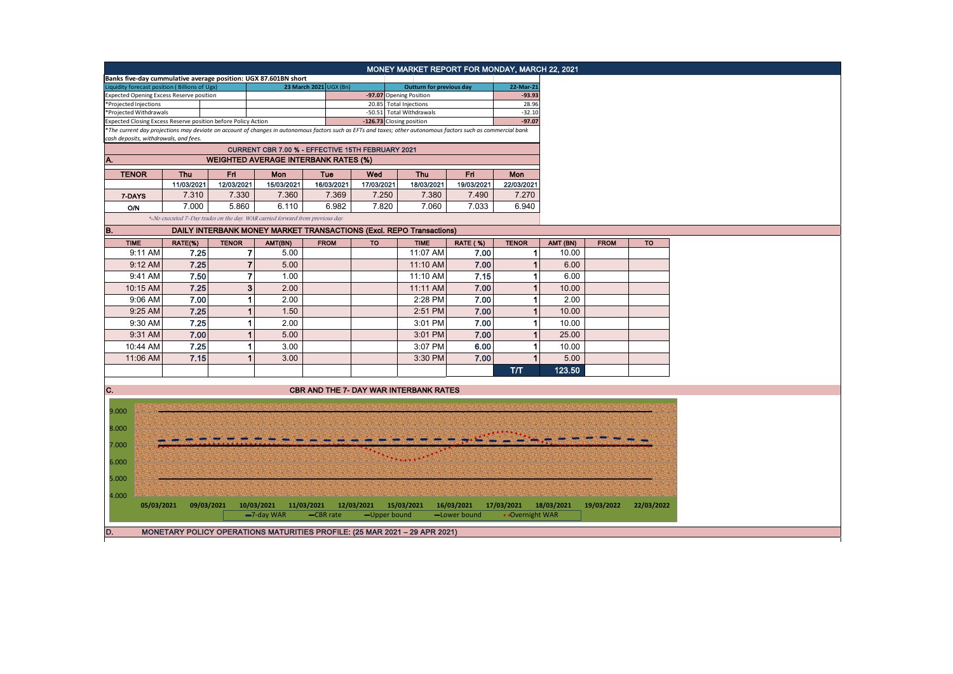|                                                 |            |            |                                                               | Banks five-day cummulative average position: UGX 87.601BN short               |                         |            | MONEY MARKET REPORT FOR MONDAY, MARCH 22, 2021                                                                                                                |                            |                               |            |             |            |
|-------------------------------------------------|------------|------------|---------------------------------------------------------------|-------------------------------------------------------------------------------|-------------------------|------------|---------------------------------------------------------------------------------------------------------------------------------------------------------------|----------------------------|-------------------------------|------------|-------------|------------|
| Liquidity forecast position (Billions of Ugx)   |            |            |                                                               |                                                                               | 23 March 2021 UGX (Bn)  |            | <b>Outturn for previous day</b>                                                                                                                               |                            | 22-Mar-21                     |            |             |            |
| <b>Expected Opening Excess Reserve position</b> |            |            |                                                               |                                                                               |                         |            | -97.07 Opening Position                                                                                                                                       |                            | $-93.93$                      |            |             |            |
| *Projected Injections                           |            |            |                                                               |                                                                               |                         |            | 20.85 Total Injections                                                                                                                                        |                            | 28.96                         |            |             |            |
| *Projected Withdrawals                          |            |            |                                                               |                                                                               |                         |            | -50.51 Total Withdrawals                                                                                                                                      |                            | $-32.10$                      |            |             |            |
|                                                 |            |            | Expected Closing Excess Reserve position before Policy Action |                                                                               |                         |            | -126.73 Closing position                                                                                                                                      |                            | $-97.07$                      |            |             |            |
| cash deposits, withdrawals, and fees.           |            |            |                                                               |                                                                               |                         |            | *The current day projections may deviate on account of changes in autonomous factors such as EFTs and taxes; other autonomous factors such as commercial bank |                            |                               |            |             |            |
|                                                 |            |            |                                                               | CURRENT CBR 7.00 % - EFFECTIVE 15TH FEBRUARY 2021                             |                         |            |                                                                                                                                                               |                            |                               |            |             |            |
| A.                                              |            |            |                                                               | <b>WEIGHTED AVERAGE INTERBANK RATES (%)</b>                                   |                         |            |                                                                                                                                                               |                            |                               |            |             |            |
| <b>TENOR</b>                                    |            | Thu        | Fri                                                           | Mon                                                                           | Tue                     | Wed        | <b>Thu</b>                                                                                                                                                    | Fri                        | <b>Mon</b>                    |            |             |            |
|                                                 |            | 11/03/2021 | 12/03/2021                                                    | 15/03/2021                                                                    | 16/03/2021              | 17/03/2021 | 18/03/2021                                                                                                                                                    | 19/03/2021                 | 22/03/2021                    |            |             |            |
| 7-DAYS                                          |            | 7.310      | 7.330                                                         | 7.360                                                                         | 7.369                   | 7.250      | 7.380                                                                                                                                                         | 7.490                      | 7.270                         |            |             |            |
|                                                 |            |            |                                                               |                                                                               |                         |            |                                                                                                                                                               |                            |                               |            |             |            |
| <b>O/N</b>                                      |            | 7.000      | 5.860                                                         | 6.110                                                                         | 6.982                   | 7.820      | 7.060                                                                                                                                                         | 7.033                      | 6.940                         |            |             |            |
| B.                                              |            |            |                                                               | *-No executed 7-Day trades on the day. WAR carried forward from previous day. |                         |            | <b>DAILY INTERBANK MONEY MARKET TRANSACTIONS (Excl. REPO Transactions)</b>                                                                                    |                            |                               |            |             |            |
|                                                 |            |            |                                                               |                                                                               |                         |            |                                                                                                                                                               |                            |                               |            |             |            |
| <b>TIME</b>                                     |            | RATE(%)    | <b>TENOR</b>                                                  | AMT(BN)                                                                       | <b>FROM</b>             | <b>TO</b>  | <b>TIME</b>                                                                                                                                                   | RATE (%)                   | <b>TENOR</b>                  | AMT (BN)   | <b>FROM</b> | <b>TO</b>  |
| 9:11 AM                                         |            | 7.25       | 7                                                             | 5.00                                                                          |                         |            | 11:07 AM                                                                                                                                                      | 7.00                       | 1                             | 10.00      |             |            |
| 9:12 AM                                         |            | 7.25       | $\overline{7}$                                                | 5.00                                                                          |                         |            | 11:10 AM                                                                                                                                                      | 7.00                       | 1                             | 6.00       |             |            |
| 9:41 AM                                         |            | 7.50       | $\overline{7}$                                                | 1.00                                                                          |                         |            | 11:10 AM                                                                                                                                                      | 7.15                       | 1                             | 6.00       |             |            |
| 10:15 AM                                        |            | 7.25       | 3                                                             | 2.00                                                                          |                         |            | 11:11 AM                                                                                                                                                      | 7.00                       | $\mathbf{1}$                  | 10.00      |             |            |
| 9:06 AM                                         |            | 7.00       | 1                                                             | 2.00                                                                          |                         |            | 2:28 PM                                                                                                                                                       | 7.00                       | 1                             | 2.00       |             |            |
| 9:25 AM                                         |            | 7.25       | 1                                                             | 1.50                                                                          |                         |            | 2:51 PM                                                                                                                                                       | 7.00                       |                               | 10.00      |             |            |
| 9:30 AM                                         |            | 7.25       | 1                                                             | 2.00                                                                          |                         |            | 3:01 PM                                                                                                                                                       | 7.00                       | 1                             | 10.00      |             |            |
| 9:31 AM                                         |            | 7.00       | 1                                                             | 5.00                                                                          |                         |            | 3:01 PM                                                                                                                                                       | 7.00                       | 1                             | 25.00      |             |            |
| 10:44 AM                                        |            | 7.25       | 1                                                             | 3.00                                                                          |                         |            | 3:07 PM                                                                                                                                                       | 6.00                       | 1                             | 10.00      |             |            |
| 11:06 AM                                        |            | 7.15       | 1                                                             | 3.00                                                                          |                         |            | 3:30 PM                                                                                                                                                       | 7.00                       | $\mathbf{1}$                  | 5.00       |             |            |
|                                                 |            |            |                                                               |                                                                               |                         |            |                                                                                                                                                               |                            | T/T                           | 123.50     |             |            |
|                                                 |            |            |                                                               |                                                                               |                         |            |                                                                                                                                                               |                            |                               |            |             |            |
| C.                                              |            |            |                                                               |                                                                               |                         |            | <b>CBR AND THE 7- DAY WAR INTERBANK RATES</b>                                                                                                                 |                            |                               |            |             |            |
|                                                 |            |            |                                                               |                                                                               |                         |            |                                                                                                                                                               |                            |                               |            |             |            |
| 9.000                                           |            |            |                                                               |                                                                               |                         |            |                                                                                                                                                               |                            |                               |            |             |            |
|                                                 |            |            |                                                               |                                                                               |                         |            |                                                                                                                                                               |                            |                               |            |             |            |
| 8.000                                           |            |            |                                                               |                                                                               |                         |            |                                                                                                                                                               |                            |                               |            |             |            |
| 7.000                                           |            |            |                                                               |                                                                               |                         |            |                                                                                                                                                               |                            |                               |            |             |            |
|                                                 |            |            |                                                               |                                                                               |                         |            |                                                                                                                                                               |                            |                               |            |             |            |
| 6.000                                           |            |            |                                                               |                                                                               |                         |            |                                                                                                                                                               |                            |                               |            |             |            |
| 5.000                                           |            |            |                                                               |                                                                               |                         |            |                                                                                                                                                               |                            |                               |            |             |            |
| 4.000                                           |            |            |                                                               |                                                                               |                         |            |                                                                                                                                                               |                            |                               |            |             |            |
|                                                 | 05/03/2021 | 09/03/2021 |                                                               | 10/03/2021<br>-7-day WAR                                                      | 11/03/2021<br>-CBR rate | 12/03/2021 | 15/03/2021<br>-Upper bound                                                                                                                                    | 16/03/2021<br>-Lower bound | 17/03/2021<br>• Overnight WAR | 18/03/2021 | 19/03/2022  | 22/03/2022 |
|                                                 |            |            |                                                               |                                                                               |                         |            |                                                                                                                                                               |                            |                               |            |             |            |
| D.                                              |            |            |                                                               |                                                                               |                         |            | MONETARY POLICY OPERATIONS MATURITIES PROFILE: (25 MAR 2021 - 29 APR 2021)                                                                                    |                            |                               |            |             |            |